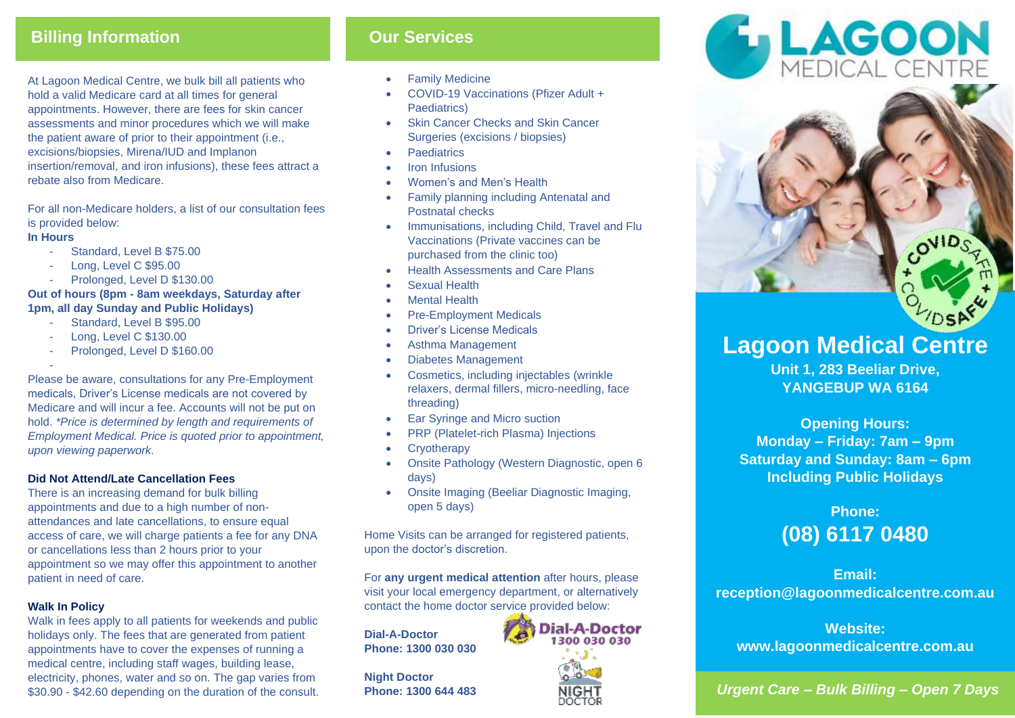## **Billing Information COURT SERVICES**

At Lagoon Medical Centre, we bulk bill all patients who hold a valid Medicare card at all times for general appointments. However, there are fees for skin cancer assessments and minor procedures which we will make the patient aware of prior to their appointment (i.e., excisions/biopsies, Mirena/IUD and Implanon insertion/removal, and iron infusions), these fees attract a rebate also from Medicare.

For all non-Medicare holders, a list of our consultation fees is provided below:

#### **In Hours**

- Standard, Level B \$75.00
- Long, Level C \$95.00
- Prolonged, Level D \$130.00

#### **Out of hours (8pm - 8am weekdays, Saturday after 1pm, all day Sunday and Public Holidays)**

- Standard, Level B \$95.00
- Long, Level C \$130.00
- Prolonged, Level D \$160.00

- Please be aware, consultations for any Pre-Employment medicals, Driver's License medicals are not covered by Medicare and will incur a fee. Accounts will not be put on hold. *\*Price is determined by length and requirements of Employment Medical. Price is quoted prior to appointment, upon viewing paperwork.*

#### **Did Not Attend/Late Cancellation Fees**

There is an increasing demand for bulk billing appointments and due to a high number of nonattendances and late cancellations, to ensure equal access of care, we will charge patients a fee for any DNA or cancellations less than 2 hours prior to your appointment so we may offer this appointment to another patient in need of care.

#### **Walk In Policy**

Walk in fees apply to all patients for weekends and public holidays only. The fees that are generated from patient appointments have to cover the expenses of running a medical centre, including staff wages, building lease, electricity, phones, water and so on. The gap varies from \$30.90 - \$42.60 depending on the duration of the consult.

- Family Medicine
- COVID-19 Vaccinations (Pfizer Adult + Paediatrics)
- Skin Cancer Checks and Skin Cancer Surgeries (excisions / biopsies)
- Paediatrics
- **Iron Infusions**
- Women's and Men's Health
- Family planning including Antenatal and Postnatal checks
- Immunisations, including Child, Travel and Flu Vaccinations (Private vaccines can be purchased from the clinic too)
- Health Assessments and Care Plans
- Sexual Health
- Mental Health
- Pre-Employment Medicals
- Driver's License Medicals
- Asthma Management
- Diabetes Management
- Cosmetics, including injectables (wrinkle relaxers, dermal fillers, micro-needling, face threading)
- Ear Syringe and Micro suction
- PRP (Platelet-rich Plasma) Injections
- Cryotherapy
- Onsite Pathology (Western Diagnostic, open 6 days)
- Onsite Imaging (Beeliar Diagnostic Imaging, open 5 days)

Home Visits can be arranged for registered patients, upon the doctor's discretion.

For **any urgent medical attention** after hours, please visit your local emergency department, or alternatively contact the home doctor service provided below:

**Dial-A-Doctor Phone: 1300 030 030**

**Night Doctor Phone: 1300 644 483**









# **Lagoon Medical Centre**

**Unit 1, 283 Beeliar Drive, YANGEBUP WA 6164**

**Opening Hours: Monday – Friday: 7am – 9pm Saturday and Sunday: 8am – 6pm Including Public Holidays**

# **Phone: (08) 6117 0480**

**Email: reception@lagoonmedicalcentre.com.au**

**Website: www.lagoonmedicalcentre.com.au**

*Urgent Care – Bulk Billing – Open 7 Days*